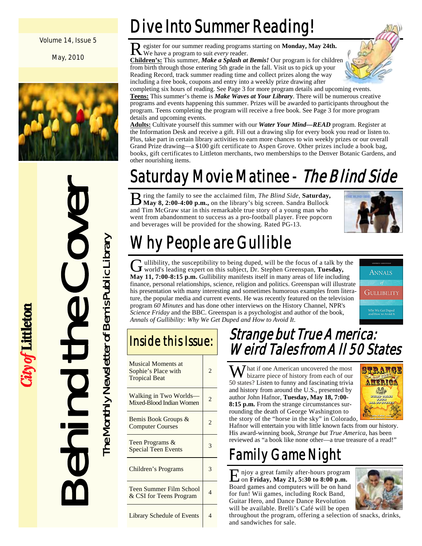#### Volume 14, Issue 5

May, 2010



Behind the Cover The Monthly Newsletter of Bemis Public Library The Monthly Newsletter of Bemis Public Library

ity of Littleton

## Dive Into Summer Reading!

R egister for our summer reading programs starting on **Monday, May 24th.**  We have a program to suit *every* reader.

**Children's:** This summer, *Make a Splash at Bemis!* Our program is for children from birth through those entering 5th grade in the fall. Visit us to pick up your Reading Record, track summer reading time and collect prizes along the way including a free book, coupons and entry into a weekly prize drawing after



completing six hours of reading. See Page 3 for more program details and upcoming events. **Teens:** This summer's theme is *Make Waves at Your Library*. There will be numerous creative programs and events happening this summer. Prizes will be awarded to participants throughout the program. Teens completing the program will receive a free book. See Page 3 for more program details and upcoming events.

**Adults:** Cultivate yourself this summer with our *Water Your Mind—READ* program. Register at the Information Desk and receive a gift. Fill out a drawing slip for every book you read or listen to. Plus, take part in certain library activities to earn more chances to win weekly prizes or our overall Grand Prize drawing—a \$100 gift certificate to Aspen Grove. Other prizes include a book bag, books, gift certificates to Littleton merchants, two memberships to the Denver Botanic Gardens, and other nourishing items.

# Saturday Movie Matinee - The Blind Side

B ring the family to see the acclaimed film, *The Blind Side*, **Saturday**,  $\frac{1}{N}$  **May 8, 2:00-4:00 p.m.**, on the library's big screen. Sandra Bullock and Tim McGraw star in this remarkable true story of a young man who went from abandonment to success as a pro-football player. Free popcorn and beverages will be provided for the showing. Rated PG-13.



# Why People are Gullible

G ullibility, the susceptibility to being duped, will be the focus of a talk by the world's leading expert on this subject, Dr. Stephen Greenspan, **Tuesday**, **May 11, 7:00-8:15 p.m.** Gullibility manifests itself in many areas of life including finance, personal relationships, science, religion and politics. Greenspan will illustrate his presentation with many interesting and sometimes humorous examples from literature, the popular media and current events. He was recently featured on the television program *60 Minutes* and has done other interviews on the History Channel, NPR's *Science Friday* and the BBC. Greenspan is a psychologist and author of the book, *Annals of Gullibility: Why We Get Duped and How to Avoid It*.



### Inside this Issue:

| <b>Musical Moments at</b><br>Sophie's Place with<br><b>Tropical Beat</b> | 2. |
|--------------------------------------------------------------------------|----|
| Walking in Two Worlds-<br>Mixed-Blood Indian Women                       |    |
| Bemis Book Groups &<br><b>Computer Courses</b>                           |    |
| Teen Programs &<br><b>Special Teen Events</b>                            | 3  |
| Children's Programs                                                      | 3  |
| <b>Teen Summer Film School</b><br>& CSI for Teens Program                | 4  |
| <b>Library Schedule of Events</b>                                        |    |

### Strange but True America: Weird Tales from All 50 States

W hat if one American uncovered the most bizarre piece of history from each of our 50 states? Listen to funny and fascinating trivia and history from around the U.S., presented by author John Hafnor, **Tuesday, May 18, 7:00- 8:15 p.m.** From the strange circumstances surrounding the death of George Washington to the story of the "horse in the sky" in Colorado,



Hafnor will entertain you with little known facts from our history. His award-winning book, *Strange but True America*, has been reviewed as "a book like none other—a true treasure of a read!"

## Family Game Night

E njoy a great family after-hours program on **Friday, May 21, 5:30 to 8:00 p.m.**  Board games and computers will be on hand for fun! Wii games, including Rock Band, Guitar Hero, and Dance Dance Revolution will be available. Brelli's Café will be open



throughout the program, offering a selection of snacks, drinks, and sandwiches for sale.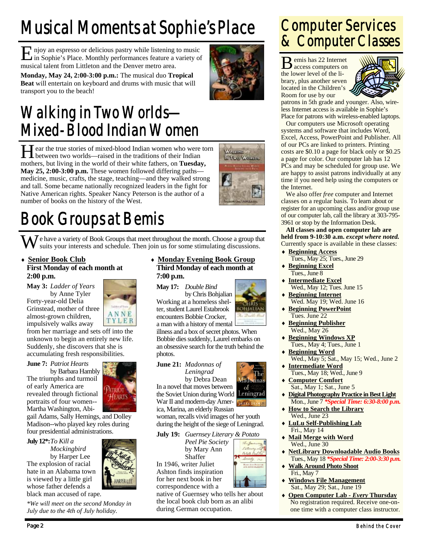# Musical Moments at Sophie's Place

E njoy an espresso or delicious pastry while listening to music in Sophie's Place. Monthly performances feature a variety of musical talent from Littleton and the Denver metro area.

**Monday, May 24, 2:00-3:00 p.m.:** The musical duo **Tropical Beat** will entertain on keyboard and drums with music that will transport you to the beach!

### Walking in Two Worlds— Mixed-Blood Indian Women

H ear the true stories of mixed-blood Indian women who were torn between two worlds—raised in the traditions of their Indian mothers, but living in the world of their white fathers, on **Tuesday, May 25, 2:00-3:00 p.m.** These women followed differing paths medicine, music, crafts, the stage, teaching—and they walked strong and tall. Some became nationally recognized leaders in the fight for Native American rights. Speaker Nancy Peterson is the author of a number of books on the history of the West.



**BOHJAL** 

The

# Book Groups at Bemis

 $\sum_{k=1}^{n}$  e have a variety of Book Groups that meet throughout the month. Choose a group that suits your interests and schedule. Then join us for some stimulating discussions.

♦ **Senior Book Club First Monday of each month at 2:00 p.m.** 

**May 3:** *Ladder of Years*  by Anne Tyler Forty-year-old Delia Grinstead, mother of three almost-grown children, impulsively walks away

from her marriage and sets off into the unknown to begin an entirely new life. Suddenly, she discovers that she is accumulating fresh responsibilities.

**June 7:** *Patriot Hearts*  by Barbara Hambly The triumphs and turmoil of early America are revealed through fictional portraits of four women-- Martha Washington, Abi-

gail Adams, Sally Hemings, and Dolley Madison--who played key roles during four presidential administrations.

#### **July 12\*:** *To Kill a*

 *Mockingbird*  by Harper Lee The explosion of racial hate in an Alabama town is viewed by a little girl whose father defends a black man accused of rape.

*\*We will meet on the second Monday in July due to the 4th of July holiday.* 

#### ♦ **Monday Evening Book Group Third Monday of each month at 7:00 p.m.**

**May 17:** *Double Bind* 

 by Chris Bohjalian Working at a homeless shelter, student Laurel Estabrook encounters Bobbie Crocker, a man with a history of mental

illness and a box of secret photos. When Bobbie dies suddenly, Laurel embarks on an obsessive search for the truth behind the photos.

#### **June 21:** *Madonnas of Leningrad*



War II and modern-day America, Marina, an elderly Russian

woman, recalls vivid images of her youth during the height of the siege of Leningrad.

**July 19:** *Guernsey Literary & Potato* 

Shaffer



In 1946, writer Juliet Ashton finds inspiration for her next book in her correspondence with a

#### native of Guernsey who tells her about the local book club born as an alibi during German occupation.

### Computer Services & Computer Classes

B emis has 22 Internet access computers on the lower level of the library, plus another seven located in the Children's Room for use by our



patrons in 5th grade and younger. Also, wireless Internet access is available in Sophie's Place for patrons with wireless-enabled laptops.

 Our computers use Microsoft operating systems and software that includes Word, Excel, Access, PowerPoint and Publisher. All of our PCs are linked to printers. Printing costs are \$0.10 a page for black only or \$0.25 a page for color. Our computer lab has 12 PCs and may be scheduled for group use. We are happy to assist patrons individually at any time if you need help using the computers or the Internet.

 We also offer *free* computer and Internet classes on a regular basis. To learn about or register for an upcoming class and/or group use of our computer lab, call the library at 303-795- 3961 or stop by the Information Desk.

**All classes and open computer lab are held from 9-10:30 a.m.** *except where noted.* Currently space is available in these classes:

- ♦ **Beginning Access**
	- Tues., May 25; Tues., June 29
- ♦ **Beginning Excel** Tues., June 8
- ♦ **Intermediate Excel** Wed., May 12; Tues. June 15
- ♦ **Beginning Internet** Wed. May 19; Wed. June 16
- ♦ **Beginning PowerPoint** Tues. June 22
- ♦ **Beginning Publisher** Wed., May 26
- ♦ **Beginning Windows XP** Tues., May 4; Tues., June 1
- ♦ **Beginning Word** Wed., May 5; Sat., May 15; Wed., June 2
- ♦ **Intermediate Word** Tues., May 18; Wed., June 9
- ♦ **Computer Comfort** Sat., May 1; Sat., June 5
- **Digital Photography Practice in Best Light** Mon., June 7 *\*Special Time: 6:30-8:00 p.m.*
- **How to Search the Library** Wed., June 23
- ♦ **LuLu Self-Publishing Lab** Fri., May 14
- **Mail Merge with Word** Wed., June 30
- **NetLibrary Downloadable Audio Books** Tues., May 18 *\*Special Time: 2:00-3:30 p.m.*
- **Walk Around Photo Shoot** Fri., May 7
- **Windows File Management** Sat., May 29; Sat., June 19
- ♦ **Open Computer Lab** *Every* **Thursday** No registration required. Receive one-onone time with a computer class instructor.



ANNE TYLER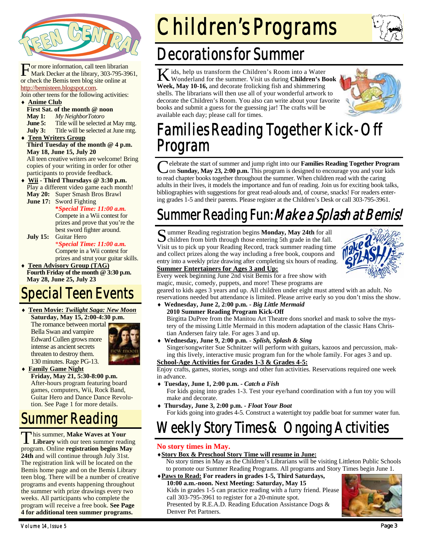

For more information, call teen librarian<br>Mark Decker at the library, 303-795-3961, or check the Bemis teen blog site online at http://bemisteen.blogspot.com.

Join other teens for the following activities: ♦ **Anime Club**

- **First Sat. of the month @ noon**
- **May 1:** *My NeighborTotoro*

**June 5:** Title will be selected at May mtg.

**July 3:** Title will be selected at June mtg.

♦ **Teen Writers Group Third Tuesday of the month @ 4 p.m. May 18, June 15, July 20** 

All teen creative writers are welcome! Bring copies of your writing in order for other participants to provide feedback.

Wii - Third Thursdays @ 3:30 p.m. Play a different video game each month! **May 20:** Super Smash Bros Brawl

**June 17:** Sword Fighting

#### **\****Special Time: 11:00 a.m.*

Compete in a Wii contest for prizes and prove that you're the best sword fighter around.

**July 15:** Guitar Hero \**Special Time: 11:00 a.m.* 

Compete in a Wii contest for prizes and strut your guitar skills.

**Teen Advisory Group (TAG) Fourth Friday of the month @ 3:30 p.m. May 28, June 25, July 23** 

## pecial Teen Events

♦ **Teen Movie:** *Twilight Saga: New Moon* **Saturday, May 15, 2:00-4:30 p.m.** 

The romance between mortal Bella Swan and vampire Edward Cullen grows more intense as ancient secrets threaten to destroy them. 130 minutes. Rage PG-13.



**Family Game Night Friday, May 21, 5:30-8:00 p.m.**  After-hours program featuring board games, computers, Wii, Rock Band, Guitar Hero and Dance Dance Revolution. See Page 1 for more details.

### Summer Reading

T his summer, **Make Waves at Your Library** with our teen summer reading program. Online **registration begins May 24th** and will continue through July 31st. The registration link will be located on the Bemis home page and on the Bemis Library teen blog. There will be a number of creative programs and events happening throughout the summer with prize drawings every two weeks. All participants who complete the program will receive a free book. **See Page 4 for additional teen summer programs.** 

# Children's Programs

### Decorations for Summer

K ids, help us transform the Children's Room into a Water Wonderland for the summer. Visit us during **Children's Book Week, May 10-16,** and decorate frolicking fish and shimmering shells. The librarians will then use all of your wonderful artwork to decorate the Children's Room. You also can write about your favorite books and submit a guess for the guessing jar! The crafts will be available each day; please call for times.



### Families Reading Together Kick-Off Program

C elebrate the start of summer and jump right into our **Families Reading Together Program** on **Sunday, May 23, 2:00 p.m.** This program is designed to encourage you and your kids to read chapter books together throughout the summer. When children read with the caring adults in their lives, it models the importance and fun of reading. Join us for exciting book talks, bibliographies with suggestions for great read-alouds and, of course, snacks! For readers entering grades 1-5 and their parents. Please register at the Children's Desk or call 303-795-3961.

### Summer Reading Fun: *Make a Splash at Bemis!*

S ummer Reading registration begins **Monday, May 24th** for all  $\triangleright$  children from birth through those entering 5th grade in the fall. Visit us to pick up your Reading Record, track summer reading time and collect prizes along the way including a free book, coupons and entry into a weekly prize drawing after completing six hours of reading.



#### **Summer Entertainers for Ages 3 and Up:**

Every week beginning June 2nd visit Bemis for a free show with magic, music, comedy, puppets, and more! These programs are

geared to kids ages 3 years and up. All children under eight must attend with an adult. No reservations needed but attendance is limited. Please arrive early so you don't miss the show.

- ♦ **Wednesday, June 2, 2:00 p.m.** *Big Little Mermaid* **2010 Summer Reading Program Kick-Off**  Birgitta DuPree from the Manitou Art Theatre dons snorkel and mask to solve the mystery of the missing Little Mermaid in this modern adaptation of the classic Hans Chris-
- tian Andersen fairy tale. For ages 3 and up. ♦ **Wednesday, June 9, 2:00 p.m. -** *Splish, Splash & Sing* Singer/songwriter Sue Schnitzer will perform with guitars, kazoos and percussion, making this lively, interactive music program fun for the whole family. For ages 3 and up.

**School-Age Activities for Grades 1-3 & Grades 4-5:**

Enjoy crafts, games, stories, songs and other fun activities. Reservations required one week in advance.

- ♦ **Tuesday, June 1, 2:00 p.m.** *Catch a Fish* 
	- For kids going into grades 1-3. Test your eye/hand coordination with a fun toy you will make and decorate.
- ♦ **Thursday, June 3, 2:00 p.m.** *Float Your Boat*  For kids going into grades 4-5. Construct a watertight toy paddle boat for summer water fun.

### Weekly Story Times & Ongoing Activities

#### **No story times in May.**

#### ♦**Story Box & Preschool Story Time will resume in June:**

- No story times in May as the Children's Librarians will be visiting Littleton Public Schools to promote our Summer Reading Programs. All programs and Story Times begin June 1.
- ♦**Paws to Read: For readers in grades 1-5, Third Saturdays, 10:00 a.m.-noon. Next Meeting: Saturday, May 15**  Kids in grades 1-5 can practice reading with a furry friend. Please call 303-795-3961 to register for a 20-minute spot. Presented by R.E.A.D. Reading Education Assistance Dogs & Denver Pet Partners.